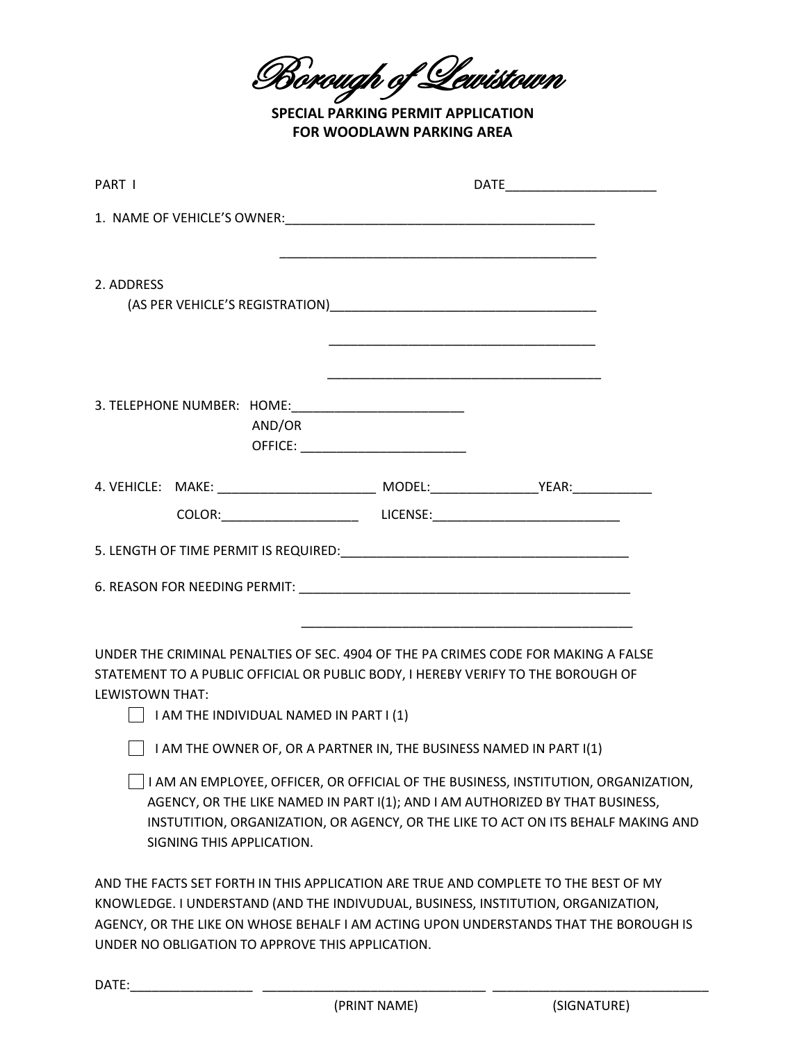Borough of Lewistown

**SPECIAL PARKING PERMIT APPLICATION FOR WOODLAWN PARKING AREA**

| PART I                                                                                                                                                                                                                                       |  |                                                                                                                                                                         |
|----------------------------------------------------------------------------------------------------------------------------------------------------------------------------------------------------------------------------------------------|--|-------------------------------------------------------------------------------------------------------------------------------------------------------------------------|
|                                                                                                                                                                                                                                              |  |                                                                                                                                                                         |
| 2. ADDRESS                                                                                                                                                                                                                                   |  |                                                                                                                                                                         |
| AND/OR                                                                                                                                                                                                                                       |  |                                                                                                                                                                         |
| 4. VEHICLE: MAKE: ___________________________ MODEL: ______________________YEAR:____________________                                                                                                                                         |  |                                                                                                                                                                         |
|                                                                                                                                                                                                                                              |  |                                                                                                                                                                         |
|                                                                                                                                                                                                                                              |  |                                                                                                                                                                         |
|                                                                                                                                                                                                                                              |  |                                                                                                                                                                         |
| UNDER THE CRIMINAL PENALTIES OF SEC. 4904 OF THE PA CRIMES CODE FOR MAKING A FALSE<br>STATEMENT TO A PUBLIC OFFICIAL OR PUBLIC BODY, I HEREBY VERIFY TO THE BOROUGH OF<br>LEWISTOWN THAT:<br>$\vert$ I AM THE INDIVIDUAL NAMED IN PART I (1) |  |                                                                                                                                                                         |
| $\vert$ I AM THE OWNER OF, OR A PARTNER IN, THE BUSINESS NAMED IN PART I(1)                                                                                                                                                                  |  |                                                                                                                                                                         |
| AGENCY, OR THE LIKE NAMED IN PART I(1); AND I AM AUTHORIZED BY THAT BUSINESS,                                                                                                                                                                |  | I AM AN EMPLOYEE, OFFICER, OR OFFICIAL OF THE BUSINESS, INSTITUTION, ORGANIZATION,<br>INSTUTITION, ORGANIZATION, OR AGENCY, OR THE LIKE TO ACT ON ITS BEHALF MAKING AND |

AND THE FACTS SET FORTH IN THIS APPLICATION ARE TRUE AND COMPLETE TO THE BEST OF MY KNOWLEDGE. I UNDERSTAND (AND THE INDIVUDUAL, BUSINESS, INSTITUTION, ORGANIZATION, AGENCY, OR THE LIKE ON WHOSE BEHALF I AM ACTING UPON UNDERSTANDS THAT THE BOROUGH IS UNDER NO OBLIGATION TO APPROVE THIS APPLICATION.

DATE:\_\_\_\_\_\_\_\_\_\_\_\_\_\_\_\_\_ \_\_\_\_\_\_\_\_\_\_\_\_\_\_\_\_\_\_\_\_\_\_\_\_\_\_\_\_\_\_\_ \_\_\_\_\_\_\_\_\_\_\_\_\_\_\_\_\_\_\_\_\_\_\_\_\_\_\_\_\_\_

SIGNING THIS APPLICATION.